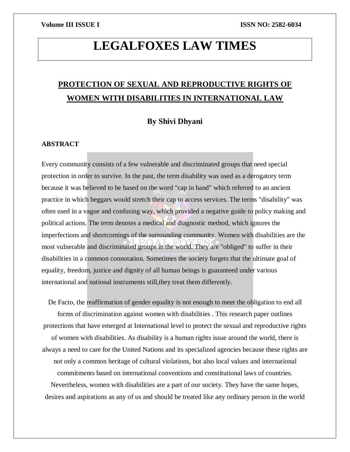# **LEGALFOXES LAW TIMES**

## **PROTECTION OF SEXUAL AND REPRODUCTIVE RIGHTS OF WOMEN WITH DISABILITIES IN INTERNATIONAL LAW**

## **By Shivi Dhyani**

## **ABSTRACT**

Every community consists of a few vulnerable and discriminated groups that need special protection in order to survive. In the past, the term disability was used as a derogatory term because it was believed to be based on the word "cap in hand" which referred to an ancient practice in which beggars would stretch their cap to access services. The terms "disability" was often used in a vague and confusing way, which provided a negative guide to policy making and political actions. The term denotes a medical and diagnostic method, which ignores the imperfections and shortcomings of the surrounding community. Women with disabilities are the most vulnerable and discriminated groups in the world. They are "obliged" to suffer in their disabilities in a common connotation. Sometimes the society forgets that the ultimate goal of equality, freedom, justice and dignity of all human beings is guaranteed under various international and national instruments still,they treat them differently.

De Facto, the reaffirmation of gender equality is not enough to meet the obligation to end all forms of discrimination against women with disabilities . This research paper outlines protections that have emerged at International level to protect the sexual and reproductive rights of women with disabilities. As disability is a human rights issue around the world, there is always a need to care for the United Nations and its specialized agencies because these rights are not only a common heritage of cultural violations, but also local values and international commitments based on international conventions and constitutional laws of countries. Nevertheless, women with disabilities are a part of our society. They have the same hopes, desires and aspirations as any of us and should be treated like any ordinary person in the world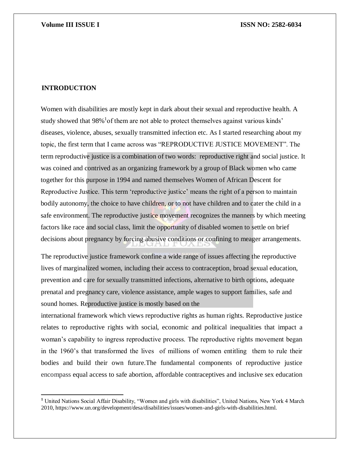## **INTRODUCTION**

 $\overline{\phantom{a}}$ 

Women with disabilities are mostly kept in dark about their sexual and reproductive health. A study showed that 98%<sup>1</sup> of them are not able to protect themselves against various kinds' diseases, violence, abuses, sexually transmitted infection etc. As I started researching about my topic, the first term that I came across was "REPRODUCTIVE JUSTICE MOVEMENT". The term reproductive justice is a combination of two words: reproductive right and social justice. It was coined and contrived as an organizing framework by a group of Black women who came together for this purpose in 1994 and named themselves Women of African Descent for Reproductive Justice. This term 'reproductive justice' means the right of a person to maintain bodily autonomy, the choice to have children, or to not have children and to cater the child in a safe environment. The reproductive justice movement recognizes the manners by which meeting factors like race and social class, limit the opportunity of disabled women to settle on brief decisions about pregnancy by forcing abusive conditions or confining to meager arrangements.

The reproductive justice framework confine a wide range of issues affecting the reproductive lives of marginalized women, including their access to contraceptio[n,](https://en.wikipedia.org/wiki/Contraception) broad sexual education, prevention and care for sexually transmitted infections, alternative to birth options, adequate [prenatal](https://en.wikipedia.org/wiki/Parental_care) and pregnancy care, violence assistance, ample wages to support families, safe and sound homes. Reproductive justice is mostly based on the

international framework which views reproductive rights as human rights. Reproductive justice relates to reproductive rights with social, economic and political inequalities that impact a woman's capability to ingress reproductive process. The reproductive rights movement began in the 1960's that transformed the lives of millions of women entitling them to rule their bodies and build their own future.The fundamental components of reproductive justice encompass equal access to safe abortion, affordable contraceptives and inclusive sex education

**<sup>1</sup>** United Nations Social Affair Disability, "Women and girls with disabilities", United Nations, New York 4 March 2010, https://www.un.org/development/desa/disabilities/issues/women-and-girls-with-disabilities.html.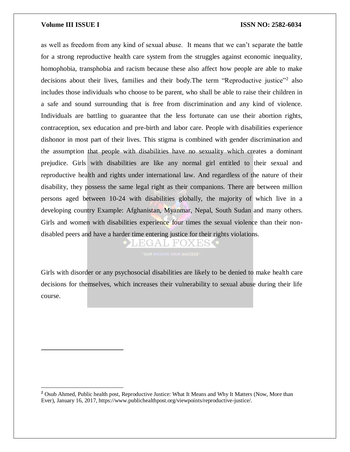$\overline{a}$ 

## **Volume III ISSUE I ISSN NO: 2582-6034**

as well as freedom from any kind of sexual abuse. It means that we can't separate the battle for a strong reproductive health care system from the struggles against economic inequality, homophobia, transphobia and racism because these also affect how people are able to make decisions about their lives, families and their body. The term "Reproductive justice"<sup>2</sup> also includes those individuals who choose to be parent, who shall be able to raise their children in a safe and sound surrounding that is free from discrimination and any kind of violence. Individuals are battling to guarantee that the less fortunate can use their abortion rights, contraception, sex education and pre-birth and labor care. People with disabilities experience dishonor in most part of their lives. This stigma is combined with gender discrimination and the assumption that people with disabilities have no sexuality which creates a dominant prejudice. Girls with disabilities are like any normal girl entitled to their sexual and reproductive health and rights under international law. And regardless of the nature of their disability, they possess the same legal right as their companions. There are between million persons aged between 10-24 with disabilities globally, the majority of which live in a developing country Example: Afghanistan, Myanmar, Nepal, South Sudan and many others. Girls and women with disabilities experience four times the sexual violence than their nondisabled peers and have a harder time entering justice for their rights violations.

EGA LEO

Girls with disorder or any psychosocial disabilities are likely to be denied to make health care decisions for themselves, which increases their vulnerability to sexual abuse during their life course.

<sup>&</sup>lt;sup>2</sup> Osub Ahmed, Public health post, Reproductive Justice: What It Means and Why It Matters (Now, More than Ever), January 16, 2017, https://www.publichealthpost.org/viewpoints/reproductive-justice/.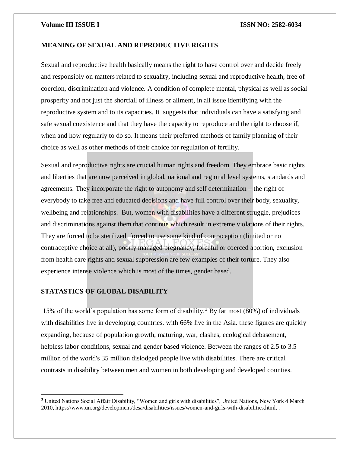## **MEANING OF SEXUAL AND REPRODUCTIVE RIGHTS**

Sexual and reproductive health basically means the right to have control over and decide freely and responsibly on matters related to sexuality, including sexual and reproductive health, free of coercion, discrimination and violence. A condition of complete mental, physical as well as social prosperity and not just the shortfall of illness or ailment, in all issue identifying with the reproductive system and to its capacities. It suggests that individuals can have a satisfying and safe sexual coexistence and that they have the capacity to reproduce and the right to choose if, when and how regularly to do so. It means their preferred methods of family planning of their choice as well as other methods of their choice for regulation of fertility.

Sexual and reproductive rights are crucial human rights and freedom. They embrace basic rights and liberties that are now perceived in global, national and regional level systems, standards and agreements. They incorporate the right to autonomy and self determination – the right of everybody to take free and educated decisions and have full control over their body, sexuality, wellbeing and relationships. But, women with disabilities have a different struggle, prejudices and discriminations against them that continue which result in extreme violations of their rights. They are forced to be sterilized, forced to use some kind of contraception (limited or no contraceptive choice at all), poorly managed pregnancy, forceful or coerced abortion, exclusion from health care rights and sexual suppression are few examples of their torture. They also experience intense violence which is most of the times, gender based.

## **STATASTICS OF GLOBAL DISABILITY**

 $\overline{\phantom{a}}$ 

15% of the world's population has some form of disability.<sup>3</sup> By far most  $(80\%)$  of individuals with disabilities live in developing countries. with 66% live in the Asia. these figures are quickly expanding, because of population growth, maturing, war, clashes, ecological debasement, helpless labor conditions, sexual and gender based violence. Between the ranges of 2.5 to 3.5 million of the world's 35 million dislodged people live with disabilities. There are critical contrasts in disability between men and women in both developing and developed counties.

**<sup>3</sup>** United Nations Social Affair Disability, "Women and girls with disabilities", United Nations, New York 4 March 2010, https://www.un.org/development/desa/disabilities/issues/women-and-girls-with-disabilities.html, .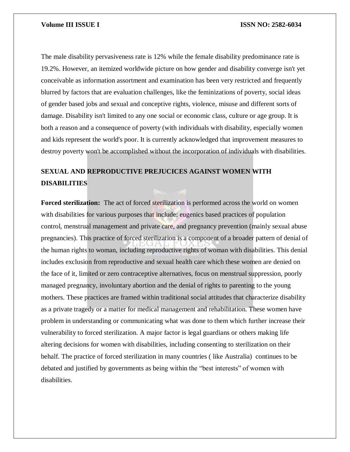The male disability pervasiveness rate is 12% while the female disability predominance rate is 19.2%. However, an itemized worldwide picture on how gender and disability converge isn't yet conceivable as information assortment and examination has been very restricted and frequently blurred by factors that are evaluation challenges, like the feminizations of poverty, social ideas of gender based jobs and sexual and conceptive rights, violence, misuse and different sorts of damage. Disability isn't limited to any one social or economic class, culture or age group. It is both a reason and a consequence of poverty (with individuals with disability, especially women and kids represent the world's poor. It is currently acknowledged that improvement measures to destroy poverty won't be accomplished without the incorporation of individuals with disabilities.

## **SEXUAL AND REPRODUCTIVE PREJUCICES AGAINST WOMEN WITH DISABILITIES**

**Forced sterilization:** The act of forced sterilization is performed across the world on women with disabilities for various purposes that include: eugenics based practices of population control, menstrual management and private care, and pregnancy prevention (mainly sexual abuse pregnancies). This practice of forced sterilization is a component of a broader pattern of denial of the human rights to woman, including reproductive rights of woman with disabilities. This denial includes exclusion from reproductive and sexual health care which these women are denied on the face of it, limited or zero contraceptive alternatives, focus on menstrual suppression, poorly managed pregnancy, involuntary abortion and the denial of rights to parenting to the young mothers. These practices are framed within traditional social attitudes that characterize disability as a private tragedy or a matter for medical management and rehabilitation. These women have problem in understanding or communicating what was done to them which further increase their vulnerability to forced sterilization. A major factor is legal guardians or others making life altering decisions for women with disabilities, including consenting to sterilization on their behalf. The practice of forced sterilization in many countries ( like Australia) continues to be debated and justified by governments as being within the "best interests" of women with disabilities.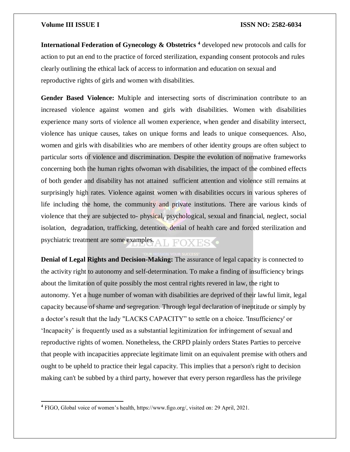$\overline{a}$ 

## **Volume III ISSUE I ISSN NO: 2582-6034**

**International Federation of Gynecology & Obstetrics <sup>4</sup>** developed new protocols and calls for action to put an end to the practice of forced sterilization, expanding consent protocols and rules clearly outlining the ethical lack of access to information and education on sexual and reproductive rights of girls and women with disabilities.

**Gender Based Violence:** Multiple and intersecting sorts of discrimination contribute to an increased violence against women and girls with disabilities. Women with disabilities experience many sorts of violence all women experience, when gender and disability intersect, violence has unique causes, takes on unique forms and leads to unique consequences. Also, women and girls with disabilities who are members of other identity groups are often subject to particular sorts of violence and discrimination. Despite the evolution of normative frameworks concerning both the human rights ofwoman with disabilities, the impact of the combined effects of both gender and disability has not attained sufficient attention and violence still remains at surprisingly high rates. Violence against women with disabilities occurs in various spheres of life including the home, the community and private institutions. There are various kinds of violence that they are subjected to- physical, psychological, sexual and financial, neglect, social isolation, degradation, trafficking, detention, denial of health care and forced sterilization and psychiatric treatment are some examples.

**Denial of Legal Rights and Decision-Making:** The assurance of legal capacity is connected to the activity right to autonomy and self-determination. To make a finding of insufficiency brings about the limitation of quite possibly the most central rights revered in law, the right to autonomy. Yet a huge number of woman with disabilities are deprived of their lawful limit, legal capacity because of shame and segregation. Through legal declaration of ineptitude or simply by a doctor's result that the lady "LACKS CAPACITY" to settle on a choice. 'Insufficiency' or 'Incapacity' is frequently used as a substantial legitimization for infringement of sexual and reproductive rights of women. Nonetheless, the CRPD plainly orders States Parties to perceive that people with incapacities appreciate legitimate limit on an equivalent premise with others and ought to be upheld to practice their legal capacity. This implies that a person's right to decision making can't be subbed by a third party, however that every person regardless has the privilege

**<sup>4</sup>** FIGO, Global voice of women's health, https://www.figo.org/, visited on: 29 April, 2021.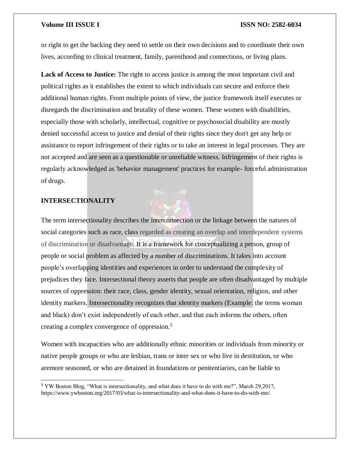or right to get the backing they need to settle on their own decisions and to coordinate their own lives, according to clinical treatment, family, parenthood and connections, or living plans.

**Lack of Access to Justice:** The right to access justice is among the most important civil and political rights as it establishes the extent to which individuals can secure and enforce their additional human rights. From multiple points of view, the justice framework itself executes or disregards the discrimination and brutality of these women. These women with disabilities, especially those with scholarly, intellectual, cognitive or psychosocial disability are mostly denied successful access to justice and denial of their rights since they don't get any help or assistance to report infringement of their rights or to take an interest in legal processes. They are not accepted and are seen as a questionable or unreliable witness. Infringement of their rights is regularly acknowledged as 'behavior management' practices for example- forceful administration of drugs.

## **INTERSECTIONALITY**

 $\overline{a}$ 

The term intersectionality describes the interconnection or the linkage between the natures of social categories such as race, class regarded as creating an overlap and interdependent systems of discrimination or disadvantage. It is a framework for conceptualizing a person, group of people or social problem as affected by a number of discriminations. It takes into account people's overlapping identities and experiences in order to understand the complexity of prejudices they face. Intersectional theory asserts that people are often disadvantaged by multiple sources of oppression: their race, class, gender identity, sexual orientation, religion, and other identity markers. Intersectionality recognizes that identity markers (Example: the terms woman and black) don't exist independently of each other, and that each informs the others, often creating a complex convergence of oppression.<sup>5</sup>

Women with incapacities who are additionally ethnic minorities or individuals from minority or native people groups or who are lesbian, trans or inter sex or who live in destitution, or who aremore seasoned, or who are detained in foundations or penitentiaries, can be liable to

**<sup>5</sup>** YW Boston Blog, "What is intersectionality, and what does it have to do with me?", March 29,2017, https://www.ywboston.org/2017/03/what-is-intersectionality-and-what-does-it-have-to-do-with-me/.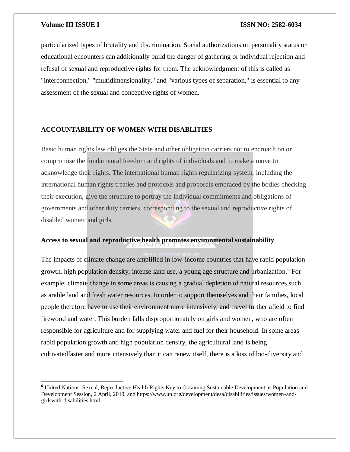$\overline{a}$ 

## **Volume III ISSUE I ISSN NO: 2582-6034**

particularized types of brutality and discrimination. Social authorizations on personality status or educational encounters can additionally build the danger of gathering or individual rejection and refusal of sexual and reproductive rights for them. The acknowledgment of this is called as "interconnection," "multidimensionality," and "various types of separation," is essential to any assessment of the sexual and conceptive rights of women.

## **ACCOUNTABILITY OF WOMEN WITH DISABLITIES**

Basic human rights law obliges the State and other obligation carriers not to encroach on or compromise the fundamental freedom and rights of individuals and to make a move to acknowledge their rights. The international human rights regularizing system, including the international human rights treaties and protocols and proposals embraced by the bodies checking their execution, give the structure to portray the individual commitments and obligations of governments and other duty carriers, corresponding to the sexual and reproductive rights of disabled women and girls.

## **Access to sexual and reproductive health promotes environmental sustainability**

The impacts of climate change are amplified in low-income countries that have rapid population growth, high population density, intense land use, a young age structure and urbanization.<sup>6</sup> For example, climate change in some areas is causing a gradual depletion of natural resources such as arable land and fresh water resources. In order to support themselves and their families, local people therefore have to use their environment more intensively, and travel further afield to find firewood and water. This burden falls disproportionately on girls and women, who are often responsible for agriculture and for supplying water and fuel for their household. In some areas rapid population growth and high population density, the agricultural land is being cultivatedfaster and more intensively than it can renew itself, there is a loss of bio-diversity and

**<sup>6</sup>** United Nations, Sexual, Reproductive Health Rights Key to Obtaining Sustainable Development as Population and Development Session, 2 April, 2019, and https://www.un.org/development/desa/disabilities/issues/women-andgirlswith-disabilities.html.